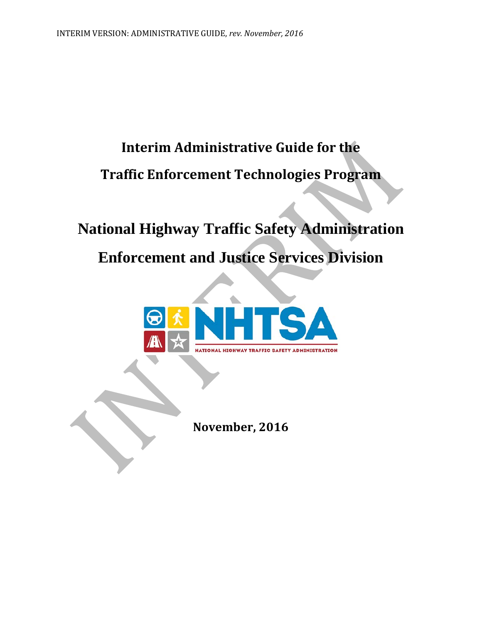# **Interim Administrative Guide for the Traffic Enforcement Technologies Program**

# **National Highway Traffic Safety Administration Enforcement and Justice Services Division**



**November, 2016**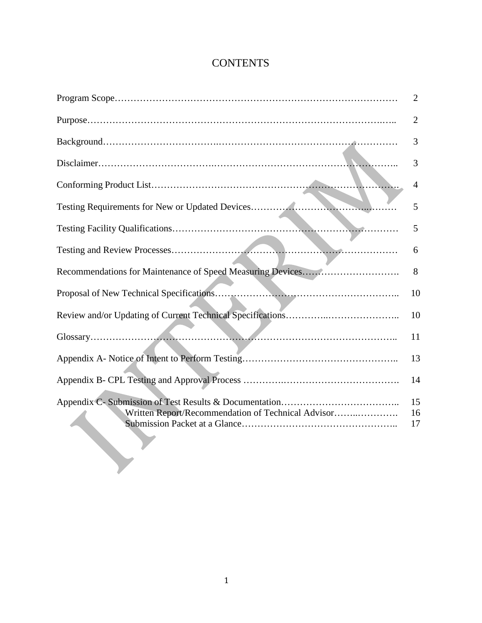## **CONTENTS**

|                                                    | $\overline{2}$ |
|----------------------------------------------------|----------------|
|                                                    | $\overline{2}$ |
|                                                    | 3              |
|                                                    | 3              |
|                                                    | 4              |
|                                                    | 5              |
|                                                    | 5              |
|                                                    | 6              |
|                                                    | 8              |
|                                                    | 10             |
|                                                    | 10             |
|                                                    | 11             |
|                                                    | 13             |
|                                                    | 14             |
| Written Report/Recommendation of Technical Advisor | 15<br>16<br>17 |
|                                                    |                |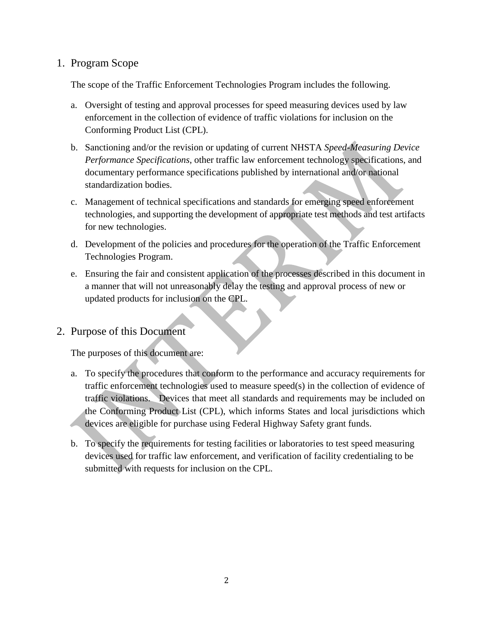## 1. Program Scope

The scope of the Traffic Enforcement Technologies Program includes the following.

- a. Oversight of testing and approval processes for speed measuring devices used by law enforcement in the collection of evidence of traffic violations for inclusion on the Conforming Product List (CPL).
- b. Sanctioning and/or the revision or updating of current NHSTA *Speed-Measuring Device Performance Specifications*, other traffic law enforcement technology specifications, and documentary performance specifications published by international and/or national standardization bodies.
- c. Management of technical specifications and standards for emerging speed enforcement technologies, and supporting the development of appropriate test methods and test artifacts for new technologies.
- d. Development of the policies and procedures for the operation of the Traffic Enforcement Technologies Program.
- e. Ensuring the fair and consistent application of the processes described in this document in a manner that will not unreasonably delay the testing and approval process of new or updated products for inclusion on the CPL.
- 2. Purpose of this Document

The purposes of this document are:

- a. To specify the procedures that conform to the performance and accuracy requirements for traffic enforcement technologies used to measure speed(s) in the collection of evidence of traffic violations. Devices that meet all standards and requirements may be included on the Conforming Product List (CPL), which informs States and local jurisdictions which devices are eligible for purchase using Federal Highway Safety grant funds.
- b. To specify the requirements for testing facilities or laboratories to test speed measuring devices used for traffic law enforcement, and verification of facility credentialing to be submitted with requests for inclusion on the CPL.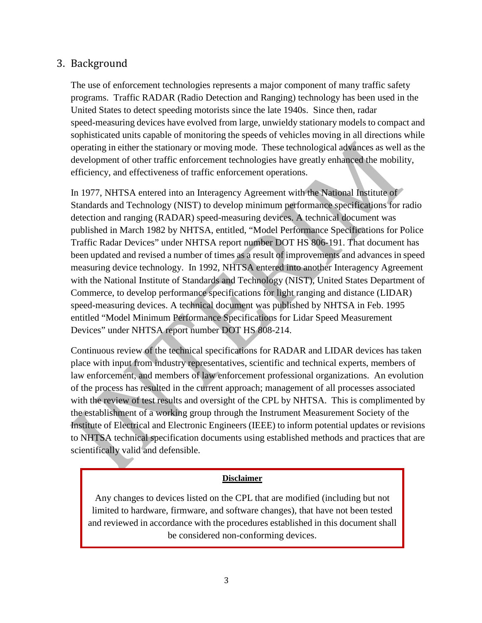## 3. Background

The use of enforcement technologies represents a major component of many traffic safety programs. Traffic RADAR (Radio Detection and Ranging) technology has been used in the United States to detect speeding motorists since the late 1940s. Since then, radar speed-measuring devices have evolved from large, unwieldy stationary models to compact and sophisticated units capable of monitoring the speeds of vehicles moving in all directions while operating in either the stationary or moving mode. These technological advances as well as the development of other traffic enforcement technologies have greatly enhanced the mobility, efficiency, and effectiveness of traffic enforcement operations.

In 1977, NHTSA entered into an Interagency Agreement with the National Institute of Standards and Technology (NIST) to develop minimum performance specifications for radio detection and ranging (RADAR) speed-measuring devices. A technical document was published in March 1982 by NHTSA, entitled, "Model Performance Specifications for Police Traffic Radar Devices" under NHTSA report number DOT HS 806-191. That document has been updated and revised a number of times as a result of improvements and advances in speed measuring device technology. In 1992, NHTSA entered into another Interagency Agreement with the National Institute of Standards and Technology (NIST), United States Department of Commerce, to develop performance specifications for light ranging and distance (LIDAR) speed-measuring devices. A technical document was published by NHTSA in Feb. 1995 entitled "Model Minimum Performance Specifications for Lidar Speed Measurement Devices" under NHTSA report number DOT HS 808-214.

Continuous review of the technical specifications for RADAR and LIDAR devices has taken place with input from industry representatives, scientific and technical experts, members of law enforcement, and members of law enforcement professional organizations. An evolution of the process has resulted in the current approach; management of all processes associated with the review of test results and oversight of the CPL by NHTSA. This is complimented by the establishment of a working group through the Instrument Measurement Society of the Institute of Electrical and Electronic Engineers (IEEE) to inform potential updates or revisions to NHTSA technical specification documents using established methods and practices that are scientifically valid and defensible.

## **Disclaimer**

Any changes to devices listed on the CPL that are modified (including but not limited to hardware, firmware, and software changes), that have not been tested and reviewed in accordance with the procedures established in this document shall be considered non-conforming devices.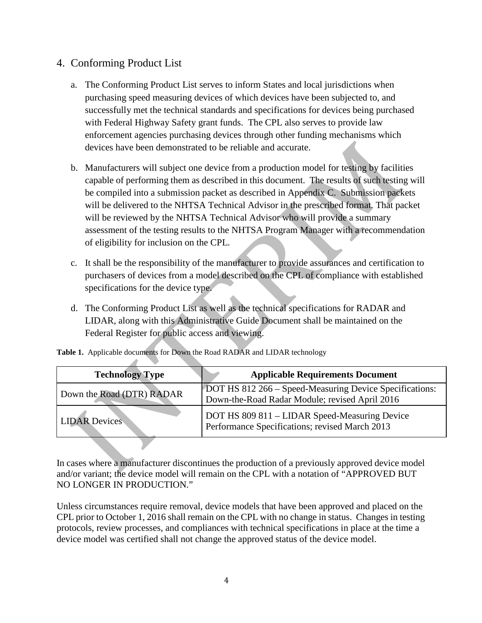## 4. Conforming Product List

- a. The Conforming Product List serves to inform States and local jurisdictions when purchasing speed measuring devices of which devices have been subjected to, and successfully met the technical standards and specifications for devices being purchased with Federal Highway Safety grant funds. The CPL also serves to provide law enforcement agencies purchasing devices through other funding mechanisms which devices have been demonstrated to be reliable and accurate.
- b. Manufacturers will subject one device from a production model for testing by facilities capable of performing them as described in this document. The results of such testing will be compiled into a submission packet as described in Appendix C. Submission packets will be delivered to the NHTSA Technical Advisor in the prescribed format. That packet will be reviewed by the NHTSA Technical Advisor who will provide a summary assessment of the testing results to the NHTSA Program Manager with a recommendation of eligibility for inclusion on the CPL.
- c. It shall be the responsibility of the manufacturer to provide assurances and certification to purchasers of devices from a model described on the CPL of compliance with established specifications for the device type.
- d. The Conforming Product List as well as the technical specifications for RADAR and LIDAR, along with this Administrative Guide Document shall be maintained on the Federal Register for public access and viewing.

| <b>Technology Type</b>    | <b>Applicable Requirements Document</b>                                                                   |  |
|---------------------------|-----------------------------------------------------------------------------------------------------------|--|
| Down the Road (DTR) RADAR | DOT HS 812 266 – Speed-Measuring Device Specifications:<br>Down-the-Road Radar Module; revised April 2016 |  |
| <b>LIDAR Devices</b>      | DOT HS 809 811 – LIDAR Speed-Measuring Device<br>Performance Specifications; revised March 2013           |  |

**Table 1.** Applicable documents for Down the Road RADAR and LIDAR technology

In cases where a manufacturer discontinues the production of a previously approved device model and/or variant; the device model will remain on the CPL with a notation of "APPROVED BUT NO LONGER IN PRODUCTION."

Unless circumstances require removal, device models that have been approved and placed on the CPL prior to October 1, 2016 shall remain on the CPL with no change in status. Changes in testing protocols, review processes, and compliances with technical specifications in place at the time a device model was certified shall not change the approved status of the device model.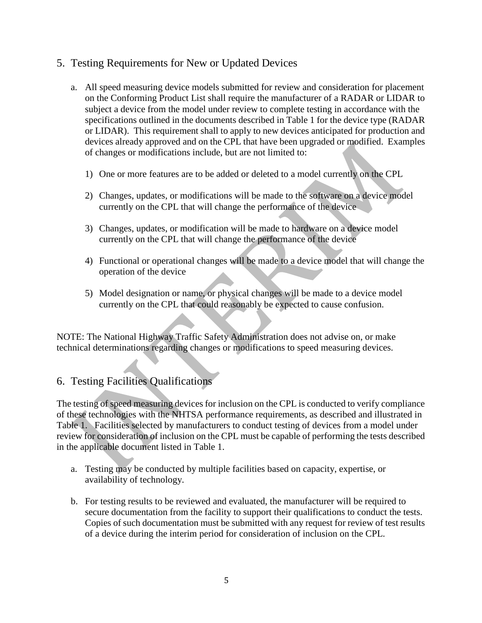## 5. Testing Requirements for New or Updated Devices

- a. All speed measuring device models submitted for review and consideration for placement on the Conforming Product List shall require the manufacturer of a RADAR or LIDAR to subject a device from the model under review to complete testing in accordance with the specifications outlined in the documents described in Table 1 for the device type (RADAR or LIDAR). This requirement shall to apply to new devices anticipated for production and devices already approved and on the CPL that have been upgraded or modified. Examples of changes or modifications include, but are not limited to:
	- 1) One or more features are to be added or deleted to a model currently on the CPL
	- 2) Changes, updates, or modifications will be made to the software on a device model currently on the CPL that will change the performance of the device
	- 3) Changes, updates, or modification will be made to hardware on a device model currently on the CPL that will change the performance of the device
	- 4) Functional or operational changes will be made to a device model that will change the operation of the device
	- 5) Model designation or name, or physical changes will be made to a device model currently on the CPL that could reasonably be expected to cause confusion.

NOTE: The National Highway Traffic Safety Administration does not advise on, or make technical determinations regarding changes or modifications to speed measuring devices.

## 6. Testing Facilities Qualifications

The testing of speed measuring devices for inclusion on the CPL is conducted to verify compliance of these technologies with the NHTSA performance requirements, as described and illustrated in Table 1. Facilities selected by manufacturers to conduct testing of devices from a model under review for consideration of inclusion on the CPL must be capable of performing the tests described in the applicable document listed in Table 1.

- a. Testing may be conducted by multiple facilities based on capacity, expertise, or availability of technology.
- b. For testing results to be reviewed and evaluated, the manufacturer will be required to secure documentation from the facility to support their qualifications to conduct the tests. Copies of such documentation must be submitted with any request for review of test results of a device during the interim period for consideration of inclusion on the CPL.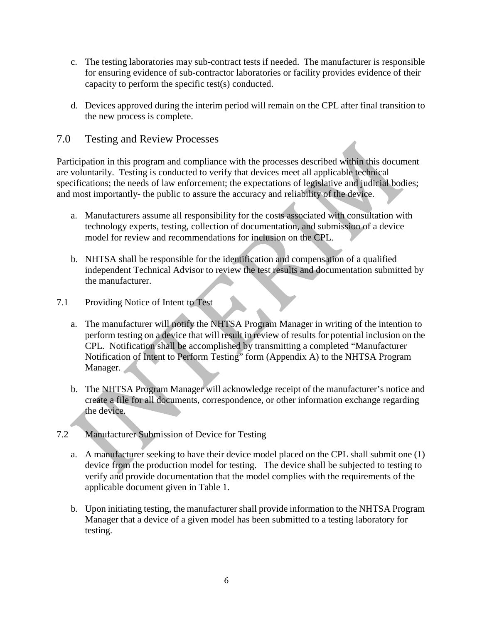- c. The testing laboratories may sub-contract tests if needed. The manufacturer is responsible for ensuring evidence of sub-contractor laboratories or facility provides evidence of their capacity to perform the specific test(s) conducted.
- d. Devices approved during the interim period will remain on the CPL after final transition to the new process is complete.
- 7.0 Testing and Review Processes

Participation in this program and compliance with the processes described within this document are voluntarily. Testing is conducted to verify that devices meet all applicable technical specifications; the needs of law enforcement; the expectations of legislative and judicial bodies; and most importantly- the public to assure the accuracy and reliability of the device.

- a. Manufacturers assume all responsibility for the costs associated with consultation with technology experts, testing, collection of documentation, and submission of a device model for review and recommendations for inclusion on the CPL.
- b. NHTSA shall be responsible for the identification and compensation of a qualified independent Technical Advisor to review the test results and documentation submitted by the manufacturer.
- 7.1 Providing Notice of Intent to Test
	- a. The manufacturer will notify the NHTSA Program Manager in writing of the intention to perform testing on a device that will result in review of results for potential inclusion on the CPL. Notification shall be accomplished by transmitting a completed "Manufacturer Notification of Intent to Perform Testing" form (Appendix A) to the NHTSA Program Manager.
	- b. The NHTSA Program Manager will acknowledge receipt of the manufacturer's notice and create a file for all documents, correspondence, or other information exchange regarding the device.
- 7.2 Manufacturer Submission of Device for Testing
	- a. A manufacturer seeking to have their device model placed on the CPL shall submit one (1) device from the production model for testing. The device shall be subjected to testing to verify and provide documentation that the model complies with the requirements of the applicable document given in Table 1.
	- b. Upon initiating testing, the manufacturer shall provide information to the NHTSA Program Manager that a device of a given model has been submitted to a testing laboratory for testing.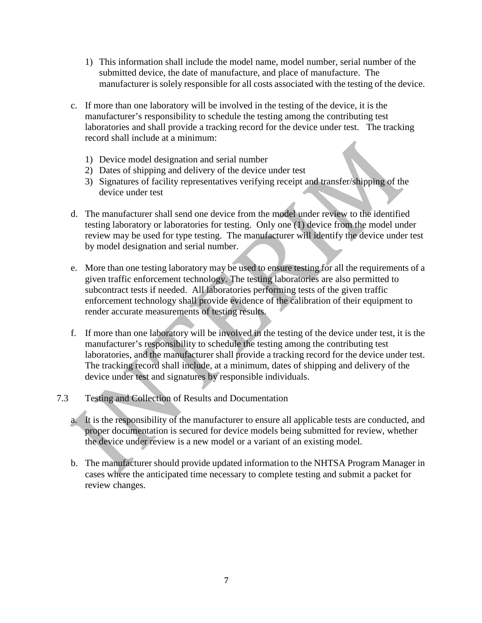- 1) This information shall include the model name, model number, serial number of the submitted device, the date of manufacture, and place of manufacture. The manufacturer is solely responsible for all costs associated with the testing of the device.
- c. If more than one laboratory will be involved in the testing of the device, it is the manufacturer's responsibility to schedule the testing among the contributing test laboratories and shall provide a tracking record for the device under test. The tracking record shall include at a minimum:
	- 1) Device model designation and serial number
	- 2) Dates of shipping and delivery of the device under test
	- 3) Signatures of facility representatives verifying receipt and transfer/shipping of the device under test
- d. The manufacturer shall send one device from the model under review to the identified testing laboratory or laboratories for testing. Only one (1) device from the model under review may be used for type testing. The manufacturer will identify the device under test by model designation and serial number.
- e. More than one testing laboratory may be used to ensure testing for all the requirements of a given traffic enforcement technology. The testing laboratories are also permitted to subcontract tests if needed. All laboratories performing tests of the given traffic enforcement technology shall provide evidence of the calibration of their equipment to render accurate measurements of testing results.
- f. If more than one laboratory will be involved in the testing of the device under test, it is the manufacturer's responsibility to schedule the testing among the contributing test laboratories, and the manufacturer shall provide a tracking record for the device under test. The tracking record shall include, at a minimum, dates of shipping and delivery of the device under test and signatures by responsible individuals.
- 7.3 Testing and Collection of Results and Documentation
	- a. It is the responsibility of the manufacturer to ensure all applicable tests are conducted, and proper documentation is secured for device models being submitted for review, whether the device under review is a new model or a variant of an existing model.
	- b. The manufacturer should provide updated information to the NHTSA Program Manager in cases where the anticipated time necessary to complete testing and submit a packet for review changes.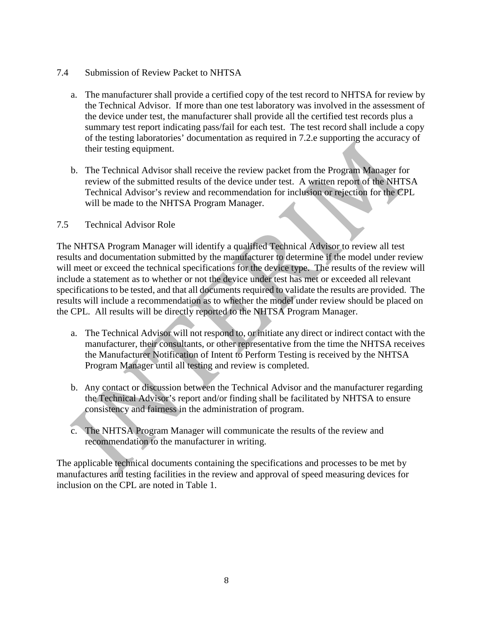- 7.4 Submission of Review Packet to NHTSA
	- a. The manufacturer shall provide a certified copy of the test record to NHTSA for review by the Technical Advisor. If more than one test laboratory was involved in the assessment of the device under test, the manufacturer shall provide all the certified test records plus a summary test report indicating pass/fail for each test. The test record shall include a copy of the testing laboratories' documentation as required in 7.2.e supporting the accuracy of their testing equipment.
	- b. The Technical Advisor shall receive the review packet from the Program Manager for review of the submitted results of the device under test. A written report of the NHTSA Technical Advisor's review and recommendation for inclusion or rejection for the CPL will be made to the NHTSA Program Manager.

## 7.5 Technical Advisor Role

The NHTSA Program Manager will identify a qualified Technical Advisor to review all test results and documentation submitted by the manufacturer to determine if the model under review will meet or exceed the technical specifications for the device type. The results of the review will include a statement as to whether or not the device under test has met or exceeded all relevant specifications to be tested, and that all documents required to validate the results are provided. The results will include a recommendation as to whether the model under review should be placed on the CPL. All results will be directly reported to the NHTSA Program Manager.

- a. The Technical Advisor will not respond to, or initiate any direct or indirect contact with the manufacturer, their consultants, or other representative from the time the NHTSA receives the Manufacturer Notification of Intent to Perform Testing is received by the NHTSA Program Manager until all testing and review is completed.
- b. Any contact or discussion between the Technical Advisor and the manufacturer regarding the Technical Advisor's report and/or finding shall be facilitated by NHTSA to ensure consistency and fairness in the administration of program.
- c. The NHTSA Program Manager will communicate the results of the review and recommendation to the manufacturer in writing.

The applicable technical documents containing the specifications and processes to be met by manufactures and testing facilities in the review and approval of speed measuring devices for inclusion on the CPL are noted in Table 1.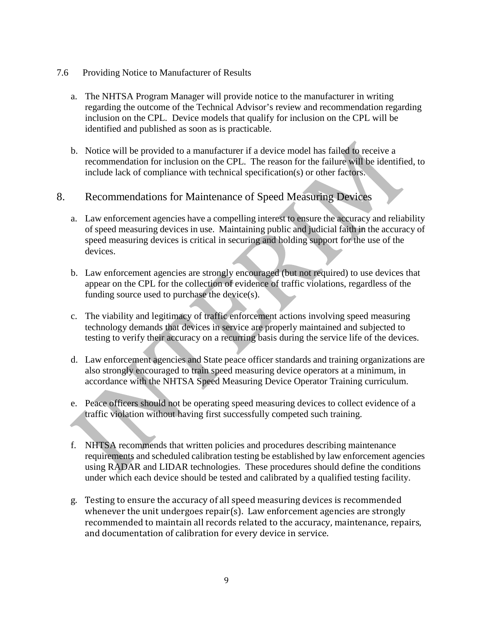- 7.6 Providing Notice to Manufacturer of Results
	- a. The NHTSA Program Manager will provide notice to the manufacturer in writing regarding the outcome of the Technical Advisor's review and recommendation regarding inclusion on the CPL. Device models that qualify for inclusion on the CPL will be identified and published as soon as is practicable.
	- b. Notice will be provided to a manufacturer if a device model has failed to receive a recommendation for inclusion on the CPL. The reason for the failure will be identified, to include lack of compliance with technical specification(s) or other factors.

## 8. Recommendations for Maintenance of Speed Measuring Devices

- a. Law enforcement agencies have a compelling interest to ensure the accuracy and reliability of speed measuring devices in use. Maintaining public and judicial faith in the accuracy of speed measuring devices is critical in securing and holding support for the use of the devices.
- b. Law enforcement agencies are strongly encouraged (but not required) to use devices that appear on the CPL for the collection of evidence of traffic violations, regardless of the funding source used to purchase the device(s).
- c. The viability and legitimacy of traffic enforcement actions involving speed measuring technology demands that devices in service are properly maintained and subjected to testing to verify their accuracy on a recurring basis during the service life of the devices.
- d. Law enforcement agencies and State peace officer standards and training organizations are also strongly encouraged to train speed measuring device operators at a minimum, in accordance with the NHTSA Speed Measuring Device Operator Training curriculum.
- e. Peace officers should not be operating speed measuring devices to collect evidence of a traffic violation without having first successfully competed such training.
- f. NHTSA recommends that written policies and procedures describing maintenance requirements and scheduled calibration testing be established by law enforcement agencies using RADAR and LIDAR technologies. These procedures should define the conditions under which each device should be tested and calibrated by a qualified testing facility.
- g. Testing to ensure the accuracy of all speed measuring devices is recommended whenever the unit undergoes repair(s). Law enforcement agencies are strongly recommended to maintain all records related to the accuracy, maintenance, repairs, and documentation of calibration for every device in service.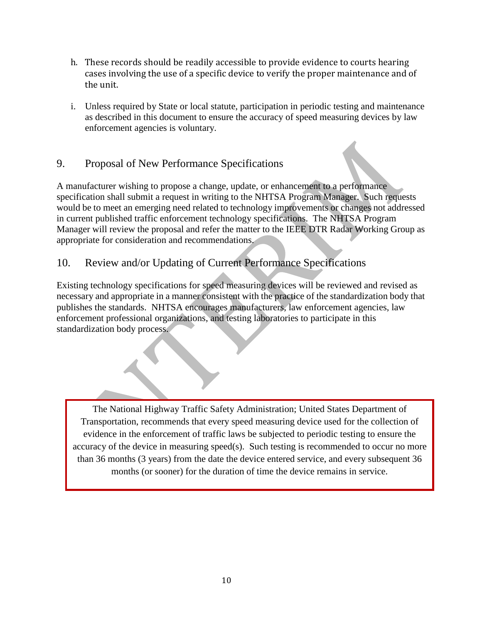- h. These records should be readily accessible to provide evidence to courts hearing cases involving the use of a specific device to verify the proper maintenance and of the unit.
- i. Unless required by State or local statute, participation in periodic testing and maintenance as described in this document to ensure the accuracy of speed measuring devices by law enforcement agencies is voluntary.

## 9. Proposal of New Performance Specifications

A manufacturer wishing to propose a change, update, or enhancement to a performance specification shall submit a request in writing to the NHTSA Program Manager. Such requests would be to meet an emerging need related to technology improvements or changes not addressed in current published traffic enforcement technology specifications. The NHTSA Program Manager will review the proposal and refer the matter to the IEEE DTR Radar Working Group as appropriate for consideration and recommendations.

## 10. Review and/or Updating of Current Performance Specifications

Existing technology specifications for speed measuring devices will be reviewed and revised as necessary and appropriate in a manner consistent with the practice of the standardization body that publishes the standards. NHTSA encourages manufacturers, law enforcement agencies, law enforcement professional organizations, and testing laboratories to participate in this standardization body process.

The National Highway Traffic Safety Administration; United States Department of Transportation, recommends that every speed measuring device used for the collection of evidence in the enforcement of traffic laws be subjected to periodic testing to ensure the accuracy of the device in measuring speed(s). Such testing is recommended to occur no more than 36 months (3 years) from the date the device entered service, and every subsequent 36 months (or sooner) for the duration of time the device remains in service.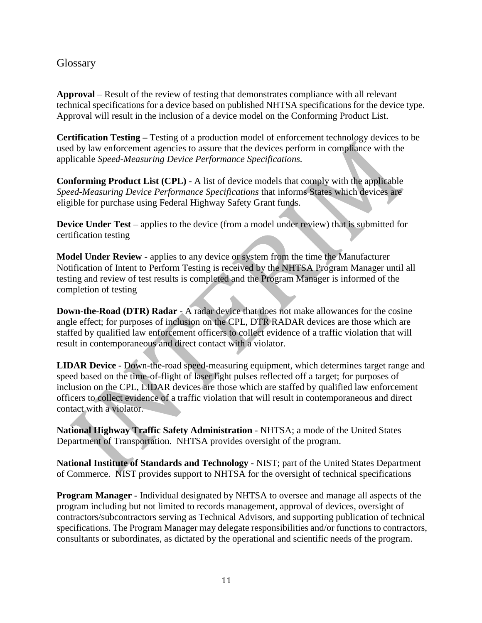## **Glossary**

**Approval** – Result of the review of testing that demonstrates compliance with all relevant technical specifications for a device based on published NHTSA specifications for the device type. Approval will result in the inclusion of a device model on the Conforming Product List.

**Certification Testing –** Testing of a production model of enforcement technology devices to be used by law enforcement agencies to assure that the devices perform in compliance with the applicable *Speed-Measuring Device Performance Specifications.* 

**Conforming Product List (CPL)** - A list of device models that comply with the applicable *Speed-Measuring Device Performance Specifications* that informs States which devices are eligible for purchase using Federal Highway Safety Grant funds.

**Device Under Test** – applies to the device (from a model under review) that is submitted for certification testing

**Model Under Review -** applies to any device or system from the time the Manufacturer Notification of Intent to Perform Testing is received by the NHTSA Program Manager until all testing and review of test results is completed and the Program Manager is informed of the completion of testing

**Down-the-Road (DTR) Radar** - A radar device that does not make allowances for the cosine angle effect; for purposes of inclusion on the CPL, DTR RADAR devices are those which are staffed by qualified law enforcement officers to collect evidence of a traffic violation that will result in contemporaneous and direct contact with a violator.

**LIDAR Device** - Down-the-road speed-measuring equipment, which determines target range and speed based on the time-of-flight of laser light pulses reflected off a target; for purposes of inclusion on the CPL, LIDAR devices are those which are staffed by qualified law enforcement officers to collect evidence of a traffic violation that will result in contemporaneous and direct contact with a violator.

**National Highway Traffic Safety Administration** - NHTSA; a mode of the United States Department of Transportation. NHTSA provides oversight of the program.

**National Institute of Standards and Technology -** NIST; part of the United States Department of Commerce. NIST provides support to NHTSA for the oversight of technical specifications

**Program Manager** - Individual designated by NHTSA to oversee and manage all aspects of the program including but not limited to records management, approval of devices, oversight of contractors/subcontractors serving as Technical Advisors, and supporting publication of technical specifications. The Program Manager may delegate responsibilities and/or functions to contractors, consultants or subordinates, as dictated by the operational and scientific needs of the program.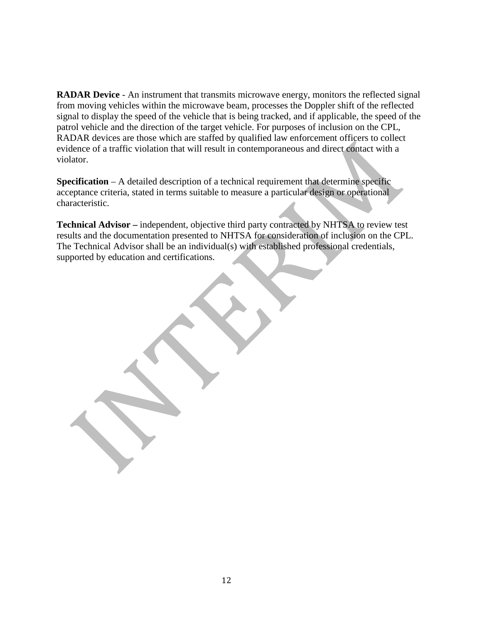**RADAR Device** - An instrument that transmits microwave energy, monitors the reflected signal from moving vehicles within the microwave beam, processes the Doppler shift of the reflected signal to display the speed of the vehicle that is being tracked, and if applicable, the speed of the patrol vehicle and the direction of the target vehicle. For purposes of inclusion on the CPL, RADAR devices are those which are staffed by qualified law enforcement officers to collect evidence of a traffic violation that will result in contemporaneous and direct contact with a violator.

**Specification** – A detailed description of a technical requirement that determine specific acceptance criteria, stated in terms suitable to measure a particular design or operational characteristic.

**Technical Advisor –** independent, objective third party contracted by NHTSA to review test results and the documentation presented to NHTSA for consideration of inclusion on the CPL. The Technical Advisor shall be an individual(s) with established professional credentials, supported by education and certifications.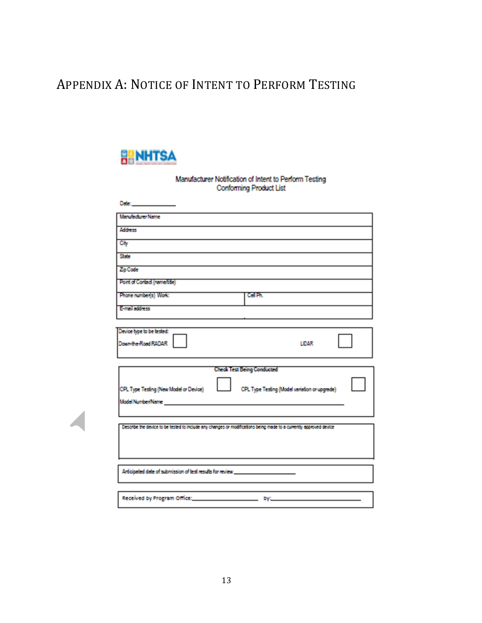## APPENDIX A: NOTICE OF INTENT TO PERFORM TESTING



Manufacturer Notification of Intent to Perform Testing **Conforming Product List** 

| Deter and the control of the control                                                                               |                                                                                    |
|--------------------------------------------------------------------------------------------------------------------|------------------------------------------------------------------------------------|
| Manufacturer Name                                                                                                  |                                                                                    |
| Address                                                                                                            |                                                                                    |
| Cily                                                                                                               |                                                                                    |
| State                                                                                                              |                                                                                    |
| Zip Code                                                                                                           |                                                                                    |
| Point of Contact (name/bile)                                                                                       |                                                                                    |
| Phone number(s) Work:                                                                                              | <b>Cell Ph.</b>                                                                    |
| E-mail address                                                                                                     |                                                                                    |
|                                                                                                                    |                                                                                    |
| Device type to be tested:<br>Down-the-Road RADAR                                                                   | LIDAR                                                                              |
|                                                                                                                    |                                                                                    |
| CPL Type Testing (New Model or Device)<br>Model Number/Name <b>Access 1999</b> - Access 1999 - Model Number        | <b>Check Test Being Conducted</b><br>CPL Type Testing (Model variation or upgrade) |
| Describe the device to be tested to include any changes or modifications being made to a currently approved device |                                                                                    |
|                                                                                                                    |                                                                                    |
|                                                                                                                    |                                                                                    |
| Anticipated date of submission of test results for review _______________________                                  |                                                                                    |
|                                                                                                                    |                                                                                    |
|                                                                                                                    |                                                                                    |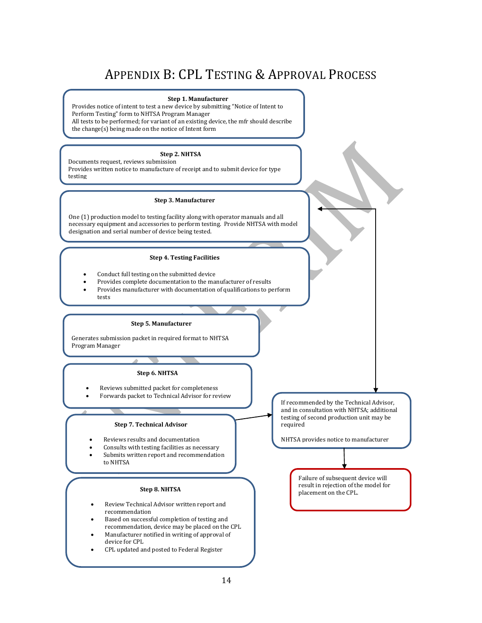## APPENDIX B: CPL TESTING & APPROVAL PROCESS

#### **Step 1. Manufacturer**

Provides notice of intent to test a new device by submitting "Notice of Intent to Perform Testing" form to NHTSA Program Manager All tests to be performed; for variant of an existing device, the mfr should describe the change(s) being made on the notice of Intent form

### **Step 2. NHTSA**

Documents request, reviews submission Provides written notice to manufacture of receipt and to submit device for type testing

#### **Step 3. Manufacturer**

One (1) production model to testing facility along with operator manuals and all necessary equipment and accessories to perform testing. Provide NHTSA with model designation and serial number of device being tested.

### **Step 4. Testing Facilities**

- Conduct full testing on the submitted device
- Provides complete documentation to the manufacturer of results
- Provides manufacturer with documentation of qualifications to perform tests

### **Step 5. Manufacturer**

Generates submission packet in required format to NHTSA Program Manager

### **Step 6. NHTSA**

- Reviews submitted packet for completeness • Forwards packet to Technical Advisor for review
	-

### **Step 7. Technical Advisor**

- Reviews results and documentation
- Consults with testing facilities as necessary
- Submits written report and recommendation to NHTSA

### **Step 8. NHTSA**

- Review Technical Advisor written report and recommendation
- Based on successful completion of testing and recommendation, device may be placed on the CPL
- Manufacturer notified in writing of approval of device for CPL
- CPL updated and posted to Federal Register

If recommended by the Technical Advisor, and in consultation with NHTSA; additional testing of second production unit may be required

NHTSA provides notice to manufacturer

Failure of subsequent device will result in rejection of the model for placement on the CPL.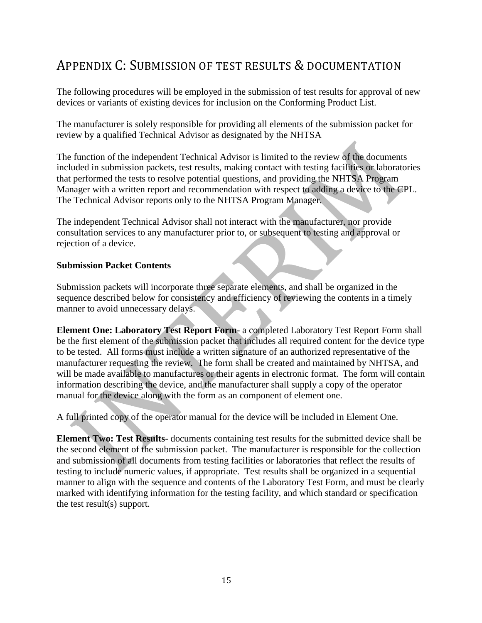## APPENDIX C: SUBMISSION OF TEST RESULTS & DOCUMENTATION

The following procedures will be employed in the submission of test results for approval of new devices or variants of existing devices for inclusion on the Conforming Product List.

The manufacturer is solely responsible for providing all elements of the submission packet for review by a qualified Technical Advisor as designated by the NHTSA

The function of the independent Technical Advisor is limited to the review of the documents included in submission packets, test results, making contact with testing facilities or laboratories that performed the tests to resolve potential questions, and providing the NHTSA Program Manager with a written report and recommendation with respect to adding a device to the CPL. The Technical Advisor reports only to the NHTSA Program Manager.

The independent Technical Advisor shall not interact with the manufacturer, nor provide consultation services to any manufacturer prior to, or subsequent to testing and approval or rejection of a device.

### **Submission Packet Contents**

Submission packets will incorporate three separate elements, and shall be organized in the sequence described below for consistency and efficiency of reviewing the contents in a timely manner to avoid unnecessary delays.

**Element One: Laboratory Test Report Form**- a completed Laboratory Test Report Form shall be the first element of the submission packet that includes all required content for the device type to be tested. All forms must include a written signature of an authorized representative of the manufacturer requesting the review. The form shall be created and maintained by NHTSA, and will be made available to manufactures or their agents in electronic format. The form will contain information describing the device, and the manufacturer shall supply a copy of the operator manual for the device along with the form as an component of element one.

A full printed copy of the operator manual for the device will be included in Element One.

**Element Two: Test Results**- documents containing test results for the submitted device shall be the second element of the submission packet. The manufacturer is responsible for the collection and submission of all documents from testing facilities or laboratories that reflect the results of testing to include numeric values, if appropriate. Test results shall be organized in a sequential manner to align with the sequence and contents of the Laboratory Test Form, and must be clearly marked with identifying information for the testing facility, and which standard or specification the test result(s) support.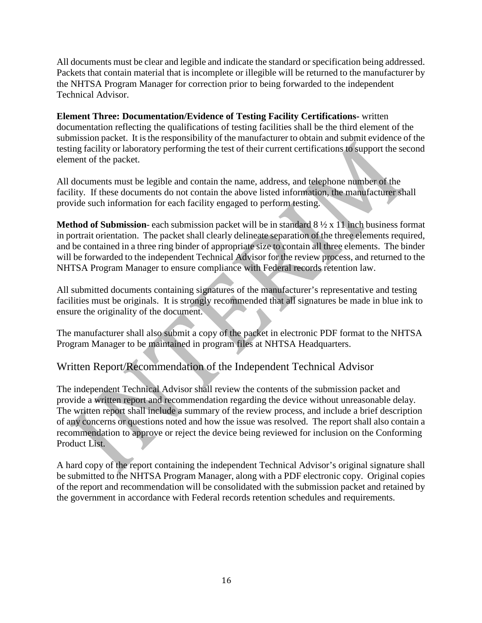All documents must be clear and legible and indicate the standard or specification being addressed. Packets that contain material that is incomplete or illegible will be returned to the manufacturer by the NHTSA Program Manager for correction prior to being forwarded to the independent Technical Advisor.

**Element Three: Documentation/Evidence of Testing Facility Certifications-** written documentation reflecting the qualifications of testing facilities shall be the third element of the submission packet. It is the responsibility of the manufacturer to obtain and submit evidence of the testing facility or laboratory performing the test of their current certifications to support the second element of the packet.

All documents must be legible and contain the name, address, and telephone number of the facility. If these documents do not contain the above listed information, the manufacturer shall provide such information for each facility engaged to perform testing.

**Method of Submission**- each submission packet will be in standard 8 ½ x 11 inch business format in portrait orientation. The packet shall clearly delineate separation of the three elements required, and be contained in a three ring binder of appropriate size to contain all three elements. The binder will be forwarded to the independent Technical Advisor for the review process, and returned to the NHTSA Program Manager to ensure compliance with Federal records retention law.

All submitted documents containing signatures of the manufacturer's representative and testing facilities must be originals. It is strongly recommended that all signatures be made in blue ink to ensure the originality of the document.

The manufacturer shall also submit a copy of the packet in electronic PDF format to the NHTSA Program Manager to be maintained in program files at NHTSA Headquarters.

## Written Report/Recommendation of the Independent Technical Advisor

The independent Technical Advisor shall review the contents of the submission packet and provide a written report and recommendation regarding the device without unreasonable delay. The written report shall include a summary of the review process, and include a brief description of any concerns or questions noted and how the issue was resolved. The report shall also contain a recommendation to approve or reject the device being reviewed for inclusion on the Conforming Product List.

A hard copy of the report containing the independent Technical Advisor's original signature shall be submitted to the NHTSA Program Manager, along with a PDF electronic copy. Original copies of the report and recommendation will be consolidated with the submission packet and retained by the government in accordance with Federal records retention schedules and requirements.